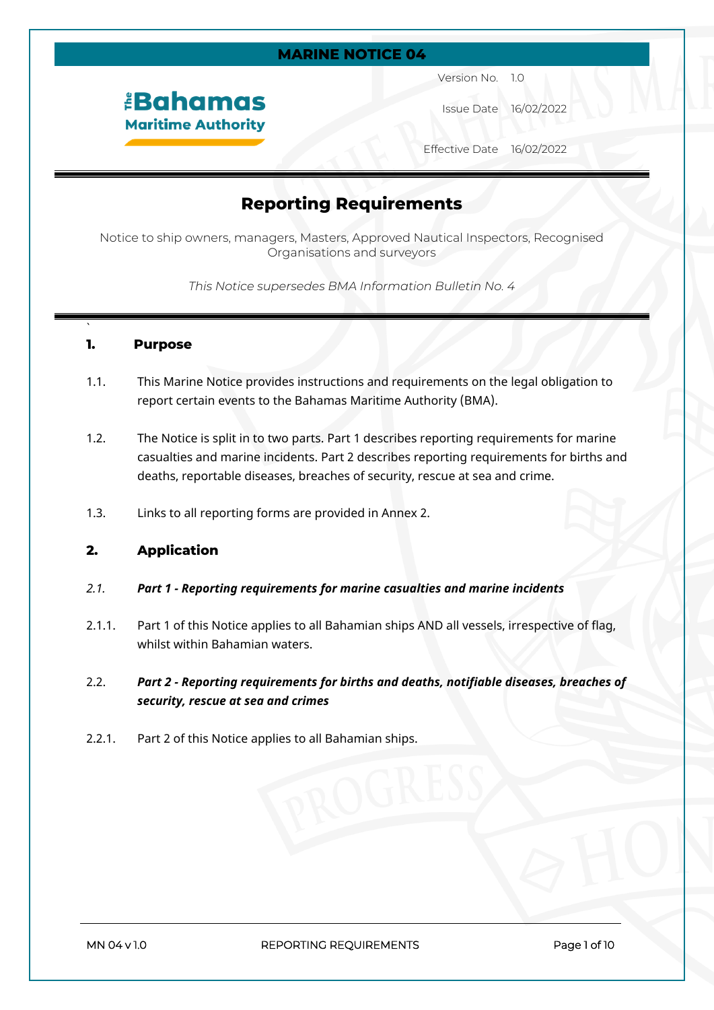#### **MARINE NOTICE 04**

# *<u><b>EBahamas</u>* **Maritime Authority**

Version No. 1.0

Issue Date 16/02/2022

Effective Date 16/02/2022

# **Reporting Requirements**

Notice to ship owners, managers, Masters, Approved Nautical Inspectors, Recognised Organisations and surveyors

*This Notice supersedes BMA Information Bulletin No. 4*

#### **1. Purpose**

`

- 1.1. This Marine Notice provides instructions and requirements on the legal obligation to report certain events to the Bahamas Maritime Authority (BMA).
- 1.2. The Notice is split in to two parts. Part 1 describes reporting requirements for marine casualties and marine incidents. Part 2 describes reporting requirements for births and deaths, reportable diseases, breaches of security, rescue at sea and crime.
- 1.3. Links to all reporting forms are provided in Annex 2.

## **2. Application**

- *2.1. Part 1 Reporting requirements for marine casualties and marine incidents*
- 2.1.1. Part 1 of this Notice applies to all Bahamian ships AND all vessels, irrespective of flag, whilst within Bahamian waters.
- 2.2. *Part 2 Reporting requirements for births and deaths, notifiable diseases, breaches of security, rescue at sea and crimes*
- 2.2.1. Part 2 of this Notice applies to all Bahamian ships.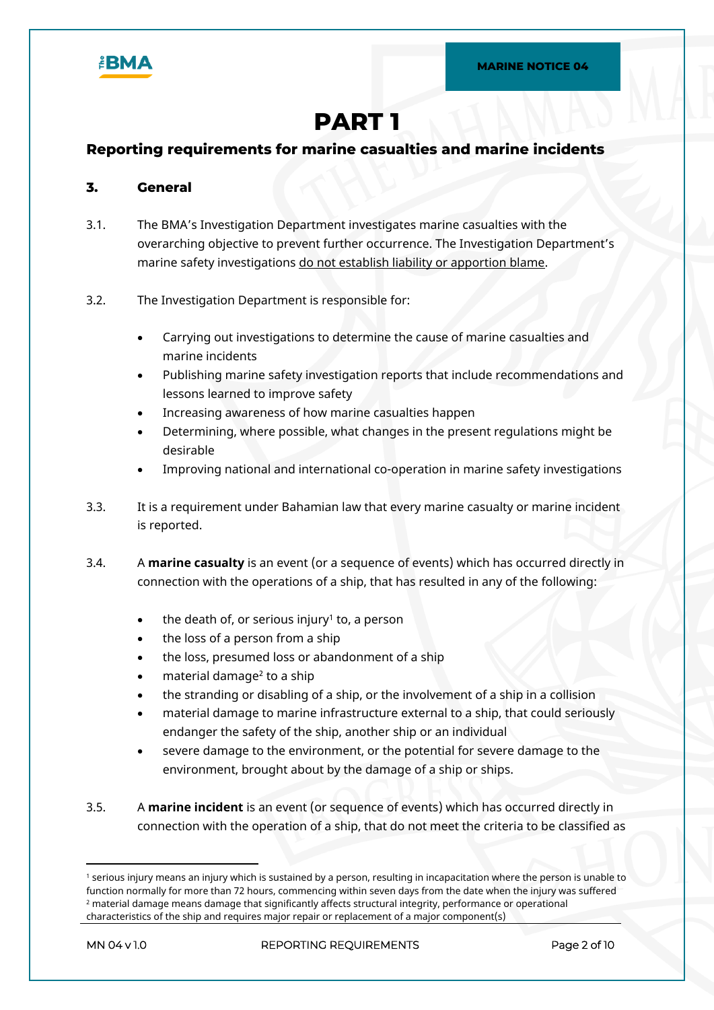

# **PART 1**

## **Reporting requirements for marine casualties and marine incidents**

### **3. General**

3.1. The BMA's Investigation Department investigates marine casualties with the overarching objective to prevent further occurrence. The Investigation Department's marine safety investigations do not establish liability or apportion blame.

#### 3.2. The Investigation Department is responsible for:

- Carrying out investigations to determine the cause of marine casualties and marine incidents
- Publishing marine safety investigation reports that include recommendations and lessons learned to improve safety
- Increasing awareness of how marine casualties happen
- Determining, where possible, what changes in the present regulations might be desirable
- Improving national and international co-operation in marine safety investigations
- 3.3. It is a requirement under Bahamian law that every marine casualty or marine incident is reported.
- 3.4. A **marine casualty** is an event (or a sequence of events) which has occurred directly in connection with the operations of a ship, that has resulted in any of the following:
	- the death of, or serious injury<sup>1</sup> to, a person
	- the loss of a person from a ship
	- the loss, presumed loss or abandonment of a ship
	- $\bullet$  material damage<sup>2</sup> to a ship
	- the stranding or disabling of a ship, or the involvement of a ship in a collision
	- material damage to marine infrastructure external to a ship, that could seriously endanger the safety of the ship, another ship or an individual
	- severe damage to the environment, or the potential for severe damage to the environment, brought about by the damage of a ship or ships.
- 3.5. A **marine incident** is an event (or sequence of events) which has occurred directly in connection with the operation of a ship, that do not meet the criteria to be classified as

<sup>1</sup> serious injury means an injury which is sustained by a person, resulting in incapacitation where the person is unable to function normally for more than 72 hours, commencing within seven days from the date when the injury was suffered  $^{\rm 2}$  material damage means damage that significantly affects structural integrity, performance or operational characteristics of the ship and requires major repair or replacement of a major component(s)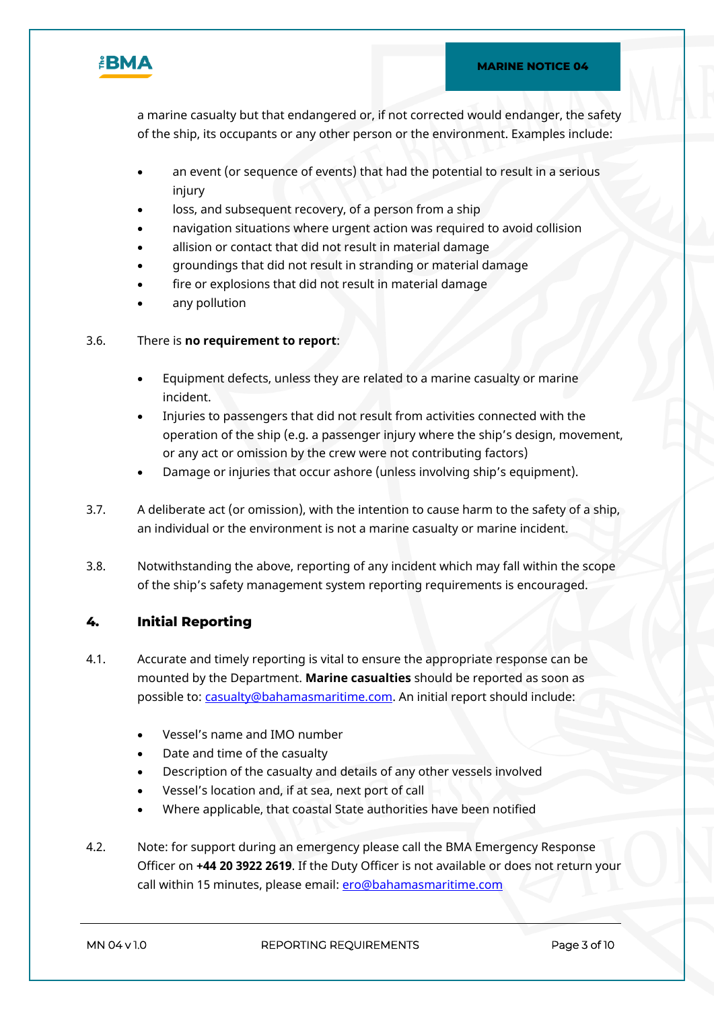

a marine casualty but that endangered or, if not corrected would endanger, the safety of the ship, its occupants or any other person or the environment. Examples include:

- an event (or sequence of events) that had the potential to result in a serious injury
- loss, and subsequent recovery, of a person from a ship
- navigation situations where urgent action was required to avoid collision
- allision or contact that did not result in material damage
- groundings that did not result in stranding or material damage
- fire or explosions that did not result in material damage
- any pollution

### 3.6. There is **no requirement to report**:

- Equipment defects, unless they are related to a marine casualty or marine incident.
- Injuries to passengers that did not result from activities connected with the operation of the ship (e.g. a passenger injury where the ship's design, movement, or any act or omission by the crew were not contributing factors)
- Damage or injuries that occur ashore (unless involving ship's equipment).
- 3.7. A deliberate act (or omission), with the intention to cause harm to the safety of a ship, an individual or the environment is not a marine casualty or marine incident.
- 3.8. Notwithstanding the above, reporting of any incident which may fall within the scope of the ship's safety management system reporting requirements is encouraged.

## **4. Initial Reporting**

- 4.1. Accurate and timely reporting is vital to ensure the appropriate response can be mounted by the Department. **Marine casualties** should be reported as soon as possible to: [casualty@bahamasmaritime.com](mailto:casualty@bahamasmaritime.com). An initial report should include:
	- Vessel's name and IMO number
	- Date and time of the casualty
	- Description of the casualty and details of any other vessels involved
	- Vessel's location and, if at sea, next port of call
	- Where applicable, that coastal State authorities have been notified
- 4.2. Note: for support during an emergency please call the BMA Emergency Response Officer on **+44 20 3922 2619**. If the Duty Officer is not available or does not return your call within 15 minutes, please email: ero@bahamasmaritime.com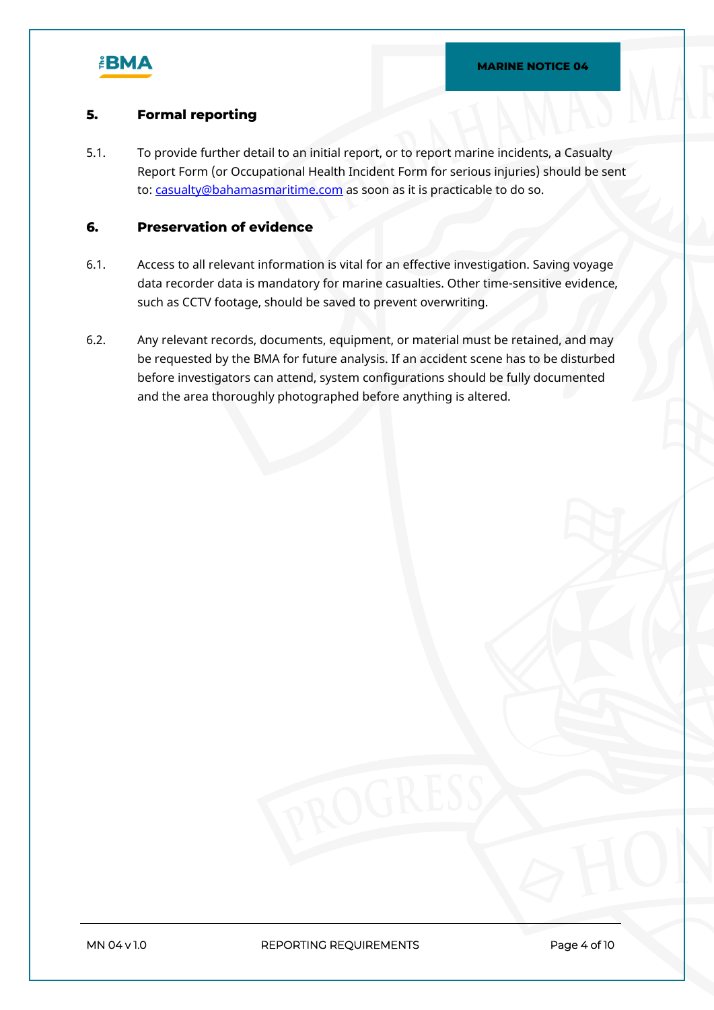

## **5. Formal reporting**

5.1. To provide further detail to an initial report, or to report marine incidents, a Casualty Report Form (or Occupational Health Incident Form for serious injuries) should be sent to: [casualty@bahamasmaritime.com](mailto:casualty@bahamasmaritime.com) as soon as it is practicable to do so.

## **6. Preservation of evidence**

- 6.1. Access to all relevant information is vital for an effective investigation. Saving voyage data recorder data is mandatory for marine casualties. Other time-sensitive evidence, such as CCTV footage, should be saved to prevent overwriting.
- 6.2. Any relevant records, documents, equipment, or material must be retained, and may be requested by the BMA for future analysis. If an accident scene has to be disturbed before investigators can attend, system configurations should be fully documented and the area thoroughly photographed before anything is altered.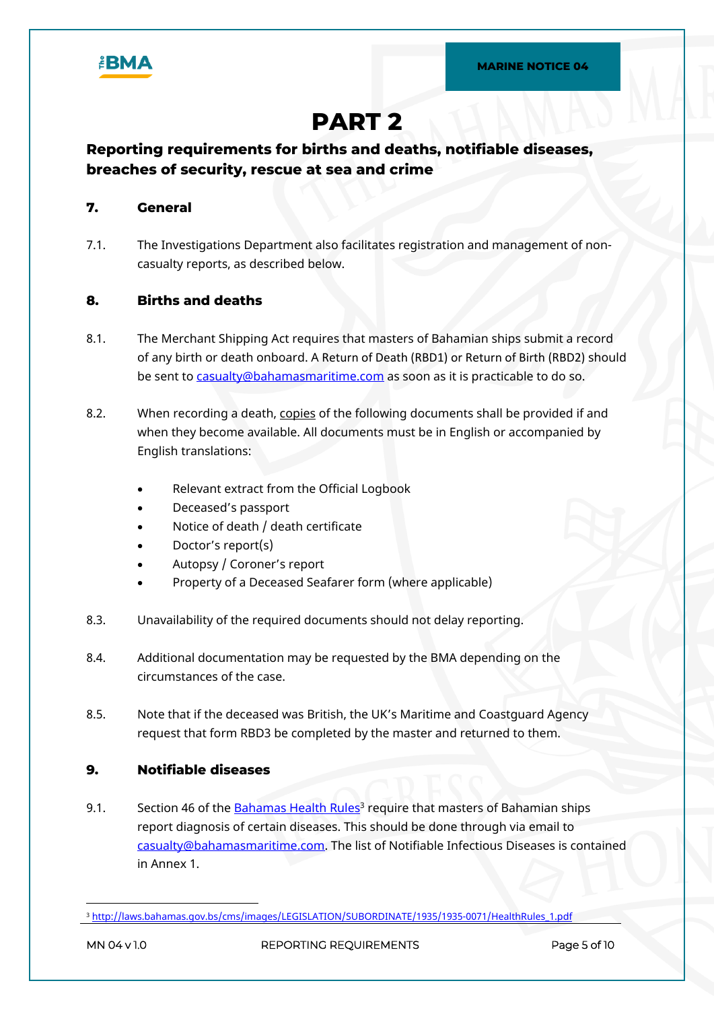

# **PART 2**

## **Reporting requirements for births and deaths, notifiable diseases, breaches of security, rescue at sea and crime**

## **7. General**

7.1. The Investigations Department also facilitates registration and management of noncasualty reports, as described below.

## **8. Births and deaths**

- 8.1. The Merchant Shipping Act requires that masters of Bahamian ships submit a record of any birth or death onboard. A Return of Death (RBD1) or Return of Birth (RBD2) should be sent to [casualty@bahamasmaritime.com](mailto:casualty@bahamasmaritime.com) as soon as it is practicable to do so.
- 8.2. When recording a death, copies of the following documents shall be provided if and when they become available. All documents must be in English or accompanied by English translations:
	- Relevant extract from the Official Logbook
	- Deceased's passport
	- Notice of death / death certificate
	- Doctor's report(s)
	- Autopsy / Coroner's report
	- Property of a Deceased Seafarer form (where applicable)
- 8.3. Unavailability of the required documents should not delay reporting.
- 8.4. Additional documentation may be requested by the BMA depending on the circumstances of the case.
- 8.5. Note that if the deceased was British, the UK's Maritime and Coastguard Agency request that form RBD3 be completed by the master and returned to them.

## **9. Notifiable diseases**

9.1. Section 46 of the [Bahamas Health Rules](http://laws.bahamas.gov.bs/cms/images/LEGISLATION/SUBORDINATE/1935/1935-0071/HealthRules_1.pdf)<sup>3</sup> require that masters of Bahamian ships report diagnosis of certain diseases. This should be done through via email to [casualty@bahamasmaritime.com.](mailto:casualty@bahamasmaritime.com) The list of Notifiable Infectious Diseases is contained in Annex 1.

<sup>3</sup> [http://laws.bahamas.gov.bs/cms/images/LEGISLATION/SUBORDINATE/1935/1935-0071/HealthRules\\_1.pdf](http://laws.bahamas.gov.bs/cms/images/LEGISLATION/SUBORDINATE/1935/1935-0071/HealthRules_1.pdf)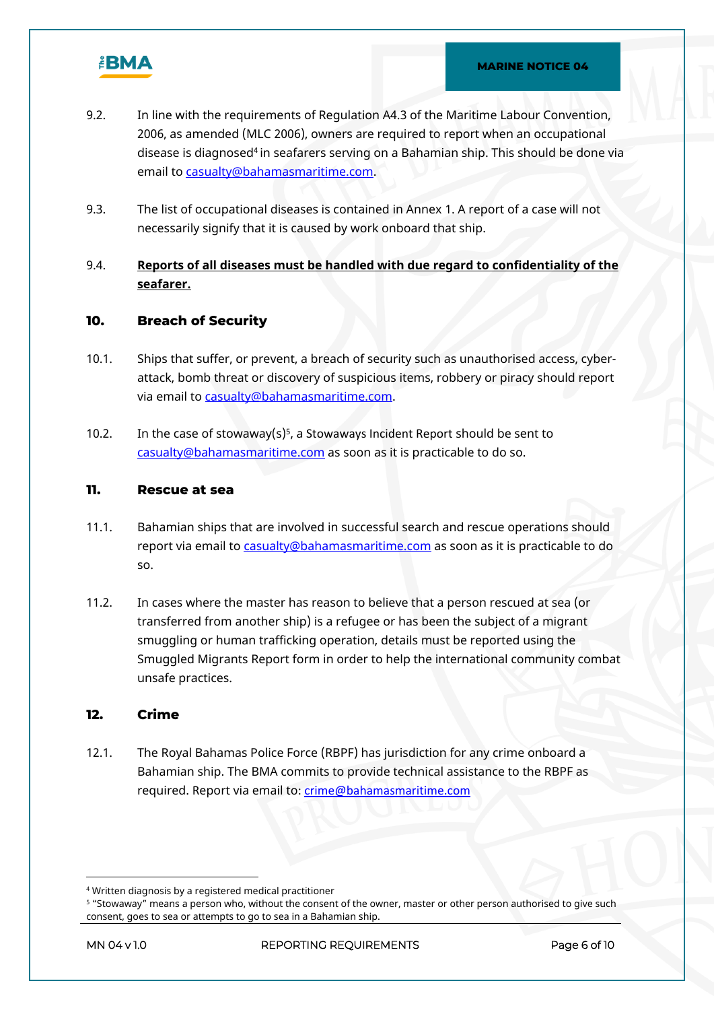

- 9.2. In line with the requirements of Regulation A4.3 of the Maritime Labour Convention, 2006, as amended (MLC 2006), owners are required to report when an occupational disease is diagnosed<sup>4</sup> in seafarers serving on a Bahamian ship. This should be done via email to [casualty@bahamasmaritime.com](mailto:casualty@bahamasmaritime.com).
- 9.3. The list of occupational diseases is contained in Annex 1. A report of a case will not necessarily signify that it is caused by work onboard that ship.
- 9.4. **Reports of all diseases must be handled with due regard to confidentiality of the seafarer.**

#### **10. Breach of Security**

- 10.1. Ships that suffer, or prevent, a breach of security such as unauthorised access, cyberattack, bomb threat or discovery of suspicious items, robbery or piracy should report via email to [casualty@bahamasmaritime.com](mailto:casualty@bahamasmaritime.com).
- 10.2. In the case of stowaway(s)<sup>5</sup>, a Stowaways Incident Report should be sent to [casualty@bahamasmaritime.com](mailto:casualty@bahamasmaritime.com) as soon as it is practicable to do so.

#### **11. Rescue at sea**

- 11.1. Bahamian ships that are involved in successful search and rescue operations should report via email to [casualty@bahamasmaritime.com](mailto:casualty@bahamasmaritime.com) as soon as it is practicable to do so.
- 11.2. In cases where the master has reason to believe that a person rescued at sea (or transferred from another ship) is a refugee or has been the subject of a migrant smuggling or human trafficking operation, details must be reported using the Smuggled Migrants Report form in order to help the international community combat unsafe practices.

## **12. Crime**

12.1. The Royal Bahamas Police Force (RBPF) has jurisdiction for any crime onboard a Bahamian ship. The BMA commits to provide technical assistance to the RBPF as required. Report via email to: [crime@bahamasmaritime.com](mailto:crime@bahamasmaritime.com)

**MN 04 v 1.0 REPORTING REQUIREMENTS Page 6 of 10**

<sup>4</sup> Written diagnosis by a registered medical practitioner

<sup>5</sup> "Stowaway" means a person who, without the consent of the owner, master or other person authorised to give such consent, goes to sea or attempts to go to sea in a Bahamian ship.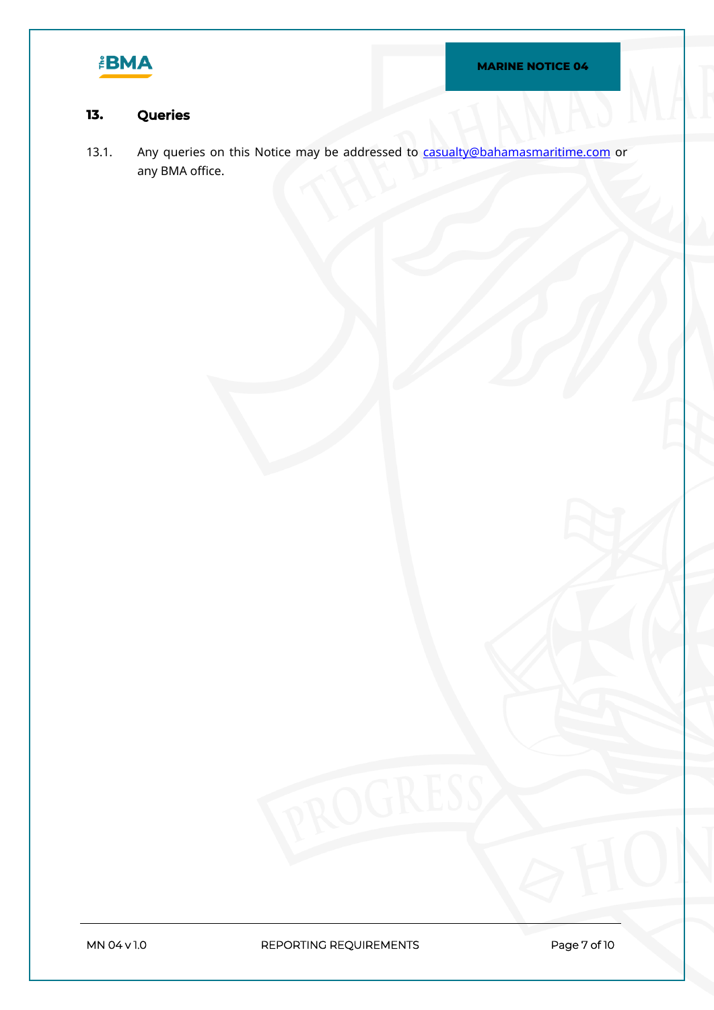

## **13. Queries**

13.1. Any queries on this Notice may be addressed to [casualty@bahamasmaritime.com](mailto:casualty@bahamasmaritime.com) or any BMA office.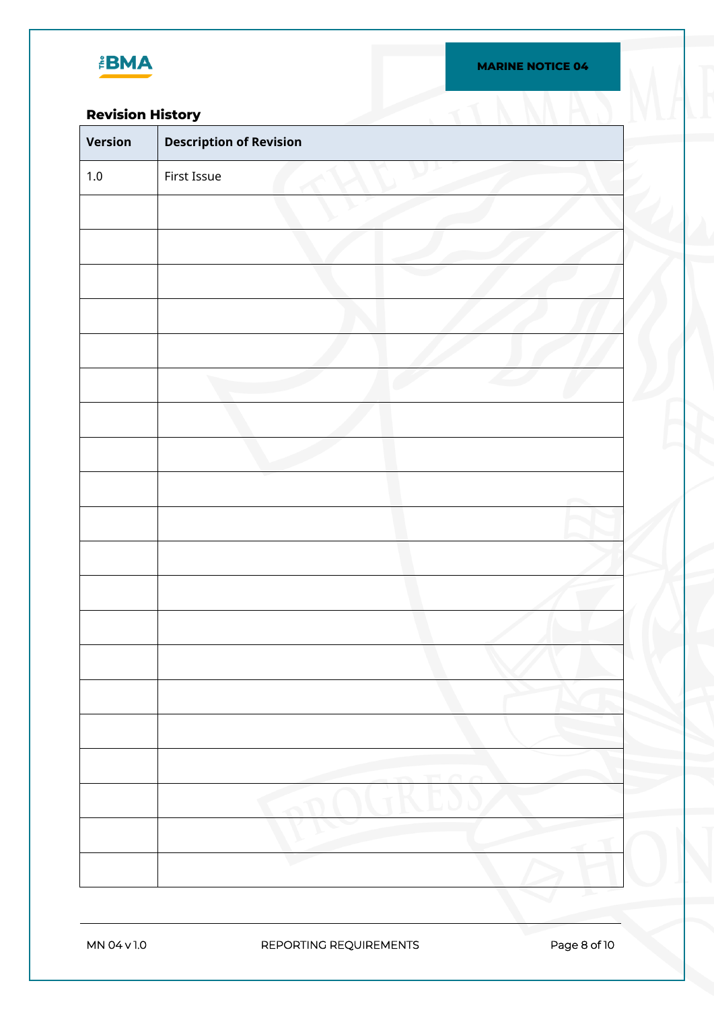

## **Revision History**

| <b>Revision History</b> |                                |
|-------------------------|--------------------------------|
| <b>Version</b>          | <b>Description of Revision</b> |
| $1.0\,$                 | First Issue                    |
|                         |                                |
|                         |                                |
|                         |                                |
|                         |                                |
|                         |                                |
|                         |                                |
|                         |                                |
|                         |                                |
|                         |                                |
|                         |                                |
|                         |                                |
|                         |                                |
|                         |                                |
|                         |                                |
|                         |                                |
|                         |                                |
|                         |                                |
|                         |                                |
|                         |                                |
|                         |                                |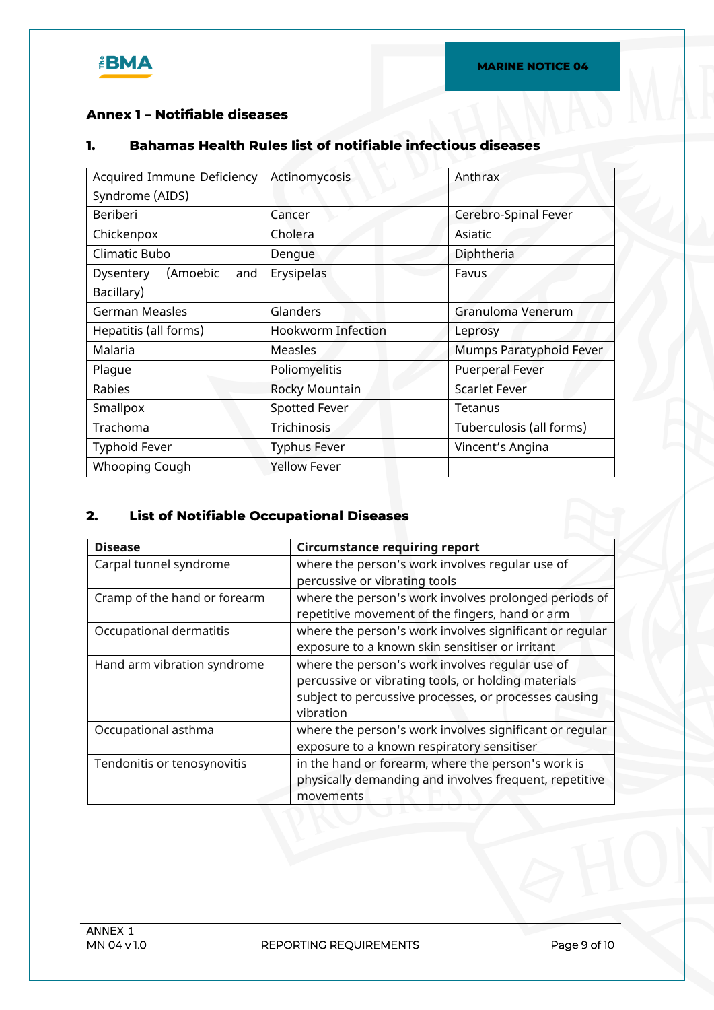

## **Annex 1 – Notifiable diseases**

## **1. Bahamas Health Rules list of notifiable infectious diseases**

| Acquired Immune Deficiency   | Actinomycosis        | Anthrax                  |
|------------------------------|----------------------|--------------------------|
| Syndrome (AIDS)              |                      |                          |
| Beriberi                     | Cancer               | Cerebro-Spinal Fever     |
| Chickenpox                   | Cholera              | Asiatic                  |
| Climatic Bubo                | Dengue               | Diphtheria               |
| (Amoebic<br>Dysentery<br>and | Erysipelas           | Favus                    |
| Bacillary)                   |                      |                          |
| <b>German Measles</b>        | Glanders             | Granuloma Venerum        |
| Hepatitis (all forms)        | Hookworm Infection   | Leprosy                  |
| Malaria                      | Measles              | Mumps Paratyphoid Fever  |
| Plaque                       | Poliomyelitis        | <b>Puerperal Fever</b>   |
| Rabies                       | Rocky Mountain       | <b>Scarlet Fever</b>     |
| Smallpox                     | <b>Spotted Fever</b> | Tetanus                  |
| Trachoma                     | <b>Trichinosis</b>   | Tuberculosis (all forms) |
| <b>Typhoid Fever</b>         | <b>Typhus Fever</b>  | Vincent's Angina         |
| Whooping Cough               | <b>Yellow Fever</b>  |                          |

## **2. List of Notifiable Occupational Diseases**

| <b>Disease</b>               | <b>Circumstance requiring report</b>                    |
|------------------------------|---------------------------------------------------------|
| Carpal tunnel syndrome       | where the person's work involves regular use of         |
|                              | percussive or vibrating tools                           |
| Cramp of the hand or forearm | where the person's work involves prolonged periods of   |
|                              | repetitive movement of the fingers, hand or arm         |
| Occupational dermatitis      | where the person's work involves significant or regular |
|                              | exposure to a known skin sensitiser or irritant         |
| Hand arm vibration syndrome  | where the person's work involves regular use of         |
|                              | percussive or vibrating tools, or holding materials     |
|                              | subject to percussive processes, or processes causing   |
|                              | vibration                                               |
| Occupational asthma          | where the person's work involves significant or regular |
|                              | exposure to a known respiratory sensitiser              |
| Tendonitis or tenosynovitis  | in the hand or forearm, where the person's work is      |
|                              | physically demanding and involves frequent, repetitive  |
|                              | movements                                               |